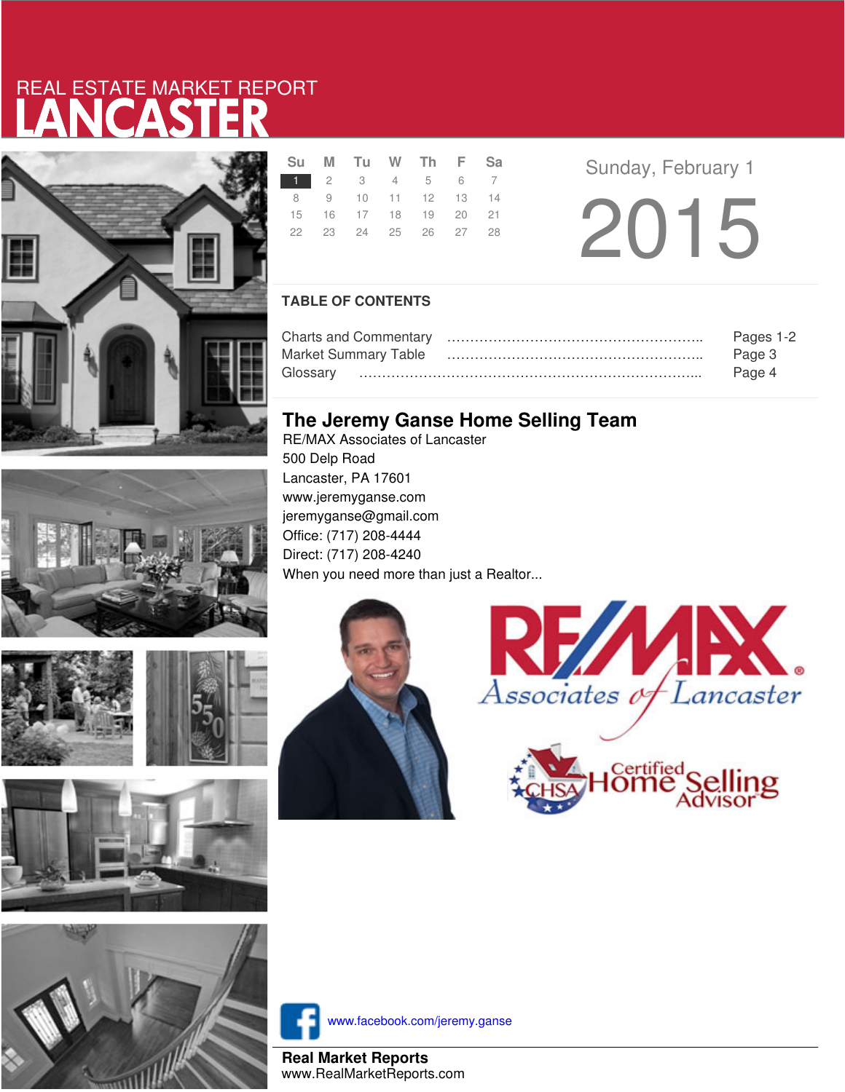# LANCASTER REAL ESTATE MARKET REPORT







|  | Su M Tu W Th F Sa    |  |  |
|--|----------------------|--|--|
|  | 1 2 3 4 5 6 7        |  |  |
|  | 8 9 10 11 12 13 14   |  |  |
|  | 15 16 17 18 19 20 21 |  |  |
|  | 22 23 24 25 26 27 28 |  |  |
|  |                      |  |  |

**Sunday, February 1** 2015

### **TABLE OF CONTENTS**

|                      | Pages 1-2 |  |  |
|----------------------|-----------|--|--|
| Market Summary Table | Page 3    |  |  |
|                      | Page 4    |  |  |

## **The Jeremy Ganse Home Selling Team**

RE/MAX Associates of Lancaster 500 Delp Road Lancaster, PA 17601 www.jeremyganse.com jeremyganse@gmail.com Office: (717) 208-4444 Direct: (717) 208-4240 When you need more than just a Realtor...







www.facebook.com/jeremy.ganse

**Real Market Reports** www.RealMarketReports.com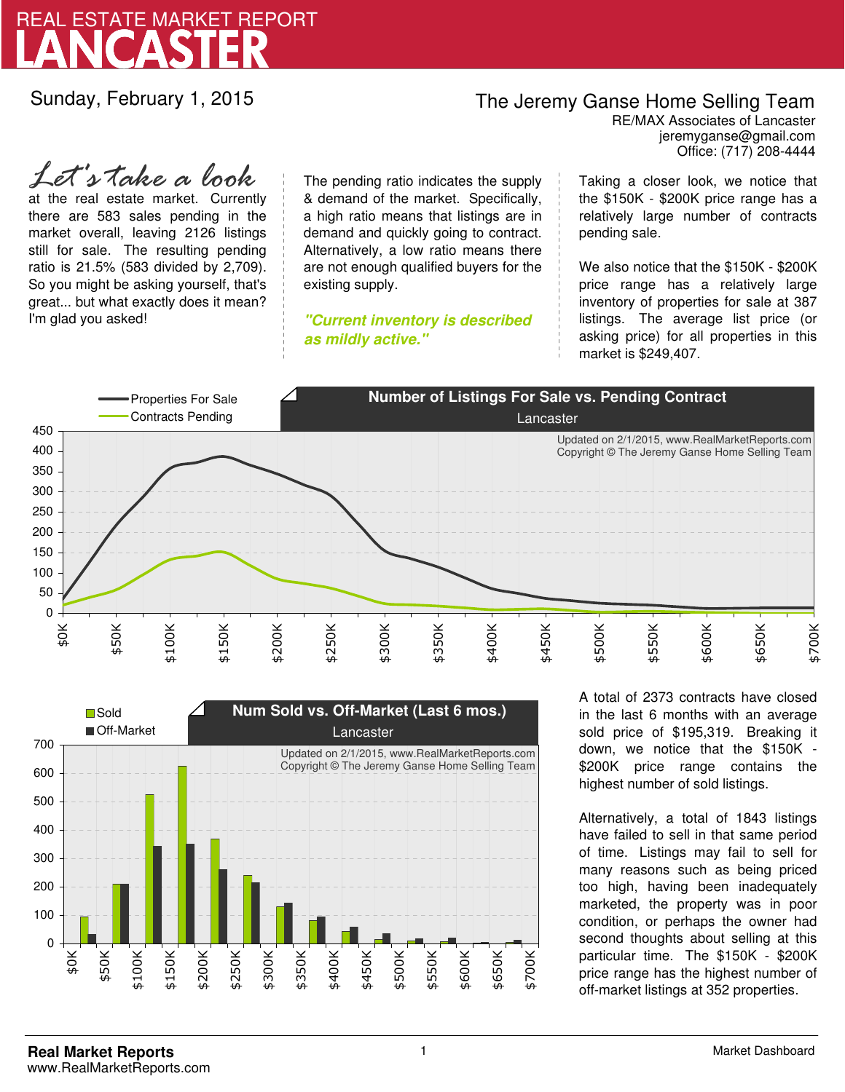

Sunday, February 1, 2015

## The Jeremy Ganse Home Selling Team

jeremyganse@gmail.com RE/MAX Associates of Lancaster Office: (717) 208-4444

at the real estate market. Currently there are 583 sales pending in the market overall, leaving 2126 listings still for sale. The resulting pending ratio is 21.5% (583 divided by 2,709). So you might be asking yourself, that's great... but what exactly does it mean? I'm glad you asked! *Let's take a look*

The pending ratio indicates the supply & demand of the market. Specifically, a high ratio means that listings are in demand and quickly going to contract. Alternatively, a low ratio means there are not enough qualified buyers for the existing supply.

**"Current inventory is described as mildly active."**

Taking a closer look, we notice that the \$150K - \$200K price range has a relatively large number of contracts pending sale.

We also notice that the \$150K - \$200K price range has a relatively large inventory of properties for sale at 387 listings. The average list price (or asking price) for all properties in this market is \$249,407.





A total of 2373 contracts have closed in the last 6 months with an average sold price of \$195,319. Breaking it down, we notice that the \$150K - \$200K price range contains the highest number of sold listings.

Alternatively, a total of 1843 listings have failed to sell in that same period of time. Listings may fail to sell for many reasons such as being priced too high, having been inadequately marketed, the property was in poor condition, or perhaps the owner had second thoughts about selling at this particular time. The \$150K - \$200K price range has the highest number of off-market listings at 352 properties.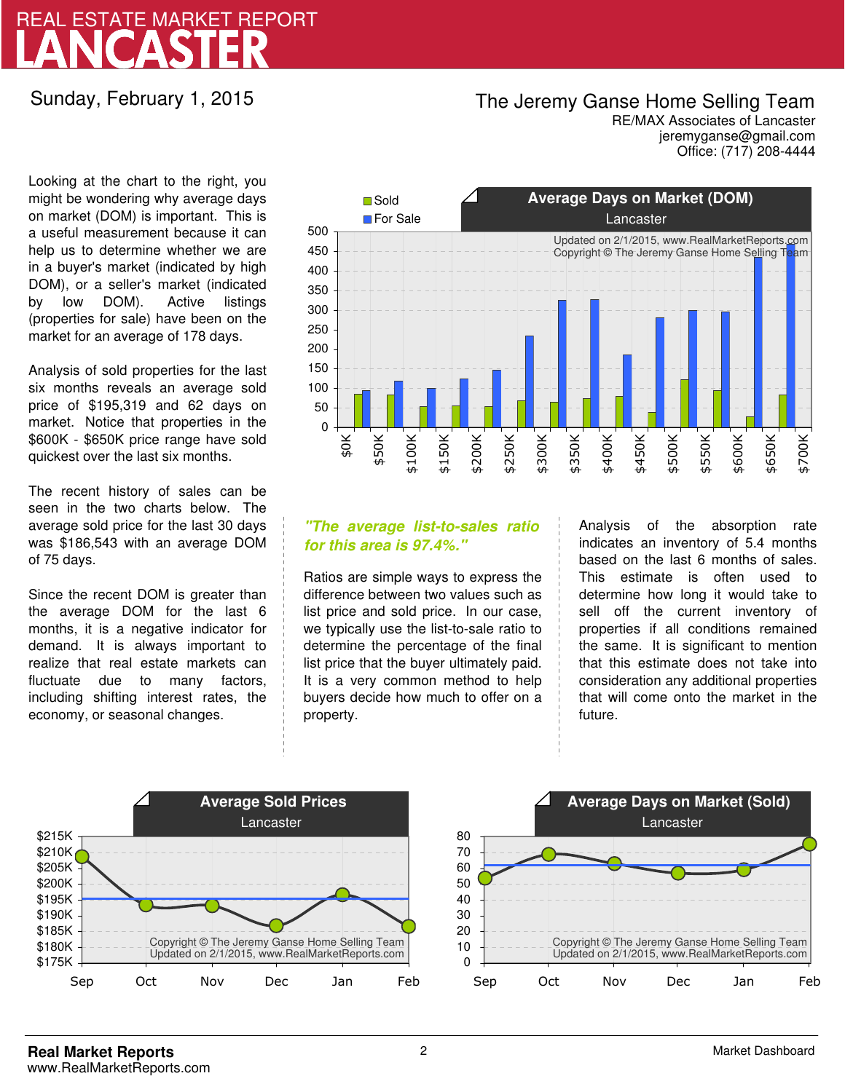# LANCASTER REAL ESTATE MARKET REPORT

### Sunday, February 1, 2015

## The Jeremy Ganse Home Selling Team

jeremyganse@gmail.com RE/MAX Associates of Lancaster Office: (717) 208-4444

Looking at the chart to the right, you might be wondering why average days on market (DOM) is important. This is a useful measurement because it can help us to determine whether we are in a buyer's market (indicated by high DOM), or a seller's market (indicated by low DOM). Active listings (properties for sale) have been on the market for an average of 178 days.

Analysis of sold properties for the last six months reveals an average sold price of \$195,319 and 62 days on market. Notice that properties in the \$600K - \$650K price range have sold quickest over the last six months.

The recent history of sales can be seen in the two charts below. The average sold price for the last 30 days was \$186,543 with an average DOM of 75 days.

Since the recent DOM is greater than the average DOM for the last 6 months, it is a negative indicator for demand. It is always important to realize that real estate markets can fluctuate due to many factors, including shifting interest rates, the economy, or seasonal changes.



### **"The average list-to-sales ratio for this area is 97.4%."**

Ratios are simple ways to express the difference between two values such as list price and sold price. In our case, we typically use the list-to-sale ratio to determine the percentage of the final list price that the buyer ultimately paid. It is a very common method to help buyers decide how much to offer on a property.

Analysis of the absorption rate indicates an inventory of 5.4 months based on the last 6 months of sales. This estimate is often used to determine how long it would take to sell off the current inventory of properties if all conditions remained the same. It is significant to mention that this estimate does not take into consideration any additional properties that will come onto the market in the future.



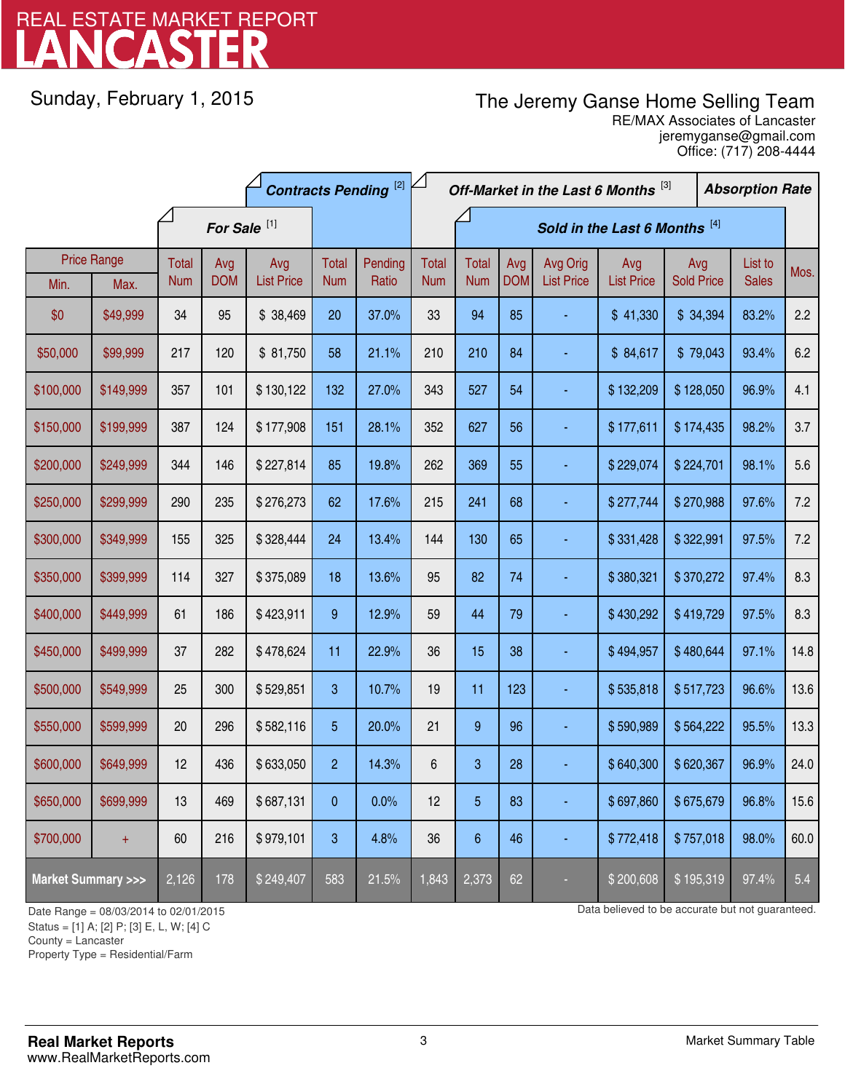# LANCASTER REAL ESTATE MARKET REPORT

Sunday, February 1, 2015

# The Jeremy Ganse Home Selling Team

jeremyganse@gmail.com RE/MAX Associates of Lancaster Office: (717) 208-4444

|                                    |                    | <b>Contracts Pending [2]</b> |            |                         |                | Off-Market in the Last 6 Months [3] |              |                               |            |                   | <b>Absorption Rate</b> |                   |  |              |      |
|------------------------------------|--------------------|------------------------------|------------|-------------------------|----------------|-------------------------------------|--------------|-------------------------------|------------|-------------------|------------------------|-------------------|--|--------------|------|
|                                    |                    |                              |            | For Sale <sup>[1]</sup> |                |                                     |              | Sold in the Last 6 Months [4] |            |                   |                        |                   |  |              |      |
|                                    | <b>Price Range</b> | <b>Total</b>                 | Avg        | Avg                     | Total          | Pending                             | <b>Total</b> | <b>Total</b>                  | Avg        | Avg Orig          | Avg                    | Avg               |  | List to      | Mos. |
| Min.                               | Max.               | <b>Num</b>                   | <b>DOM</b> | <b>List Price</b>       | <b>Num</b>     | Ratio                               | <b>Num</b>   | <b>Num</b>                    | <b>DOM</b> | <b>List Price</b> | <b>List Price</b>      | <b>Sold Price</b> |  | <b>Sales</b> |      |
| \$0                                | \$49,999           | 34                           | 95         | \$38,469                | 20             | 37.0%                               | 33           | 94                            | 85         |                   | \$41,330               | \$34,394          |  | 83.2%        | 2.2  |
| \$50,000                           | \$99,999           | 217                          | 120        | \$81,750                | 58             | 21.1%                               | 210          | 210                           | 84         |                   | \$84,617               | \$79,043          |  | 93.4%        | 6.2  |
| \$100,000                          | \$149,999          | 357                          | 101        | \$130,122               | 132            | 27.0%                               | 343          | 527                           | 54         |                   | \$132,209              | \$128,050         |  | 96.9%        | 4.1  |
| \$150,000                          | \$199,999          | 387                          | 124        | \$177,908               | 151            | 28.1%                               | 352          | 627                           | 56         |                   | \$177,611              | \$174,435         |  | 98.2%        | 3.7  |
| \$200,000                          | \$249,999          | 344                          | 146        | \$227,814               | 85             | 19.8%                               | 262          | 369                           | 55         |                   | \$229,074              | \$224,701         |  | 98.1%        | 5.6  |
| \$250,000                          | \$299,999          | 290                          | 235        | \$276,273               | 62             | 17.6%                               | 215          | 241                           | 68         |                   | \$277,744              | \$270,988         |  | 97.6%        | 7.2  |
| \$300,000                          | \$349,999          | 155                          | 325        | \$328,444               | 24             | 13.4%                               | 144          | 130                           | 65         |                   | \$331,428              | \$322,991         |  | 97.5%        | 7.2  |
| \$350,000                          | \$399,999          | 114                          | 327        | \$375,089               | 18             | 13.6%                               | 95           | 82                            | 74         |                   | \$380,321              | \$370,272         |  | 97.4%        | 8.3  |
| \$400,000                          | \$449,999          | 61                           | 186        | \$423,911               | 9              | 12.9%                               | 59           | 44                            | 79         |                   | \$430,292              | \$419,729         |  | 97.5%        | 8.3  |
| \$450,000                          | \$499,999          | 37                           | 282        | \$478,624               | 11             | 22.9%                               | 36           | 15                            | 38         |                   | \$494,957              | \$480,644         |  | 97.1%        | 14.8 |
| \$500,000                          | \$549,999          | 25                           | 300        | \$529,851               | 3              | 10.7%                               | 19           | 11                            | 123        |                   | \$535,818              | \$517,723         |  | 96.6%        | 13.6 |
| \$550,000                          | \$599,999          | 20                           | 296        | \$582,116               | 5              | 20.0%                               | 21           | $9\,$                         | 96         |                   | \$590,989              | \$564,222         |  | 95.5%        | 13.3 |
| \$600,000                          | \$649,999          | 12                           | 436        | \$633,050               | $\overline{2}$ | 14.3%                               | $\,6$        | 3                             | 28         |                   | \$640,300              | \$620,367         |  | 96.9%        | 24.0 |
| \$650,000                          | \$699,999          | 13                           | 469        | \$687,131               | 0              | 0.0%                                | 12           | 5                             | 83         |                   | \$697,860              | \$675,679         |  | 96.8%        | 15.6 |
| \$700,000                          | $\ddot{}$          | 60                           | 216        | \$979,101               | 3              | 4.8%                                | 36           | $6\phantom{1}6$               | 46         |                   | \$772,418              | \$757,018         |  | 98.0%        | 60.0 |
| <b>Market Summary &gt;&gt;&gt;</b> |                    | 2,126                        | 178        | \$249,407               | 583            | 21.5%                               | 1,843        | 2,373                         | 62         |                   | \$200,608              | \$195,319         |  | 97.4%        | 5.4  |

Status = [1] A; [2] P; [3] E, L, W; [4] C

1

Property Type = Residential/Farm

Date Range = 08/03/2014 to 02/01/2015 Date Range = 08/03/2014 to 02/01/2015

County = Lancaster